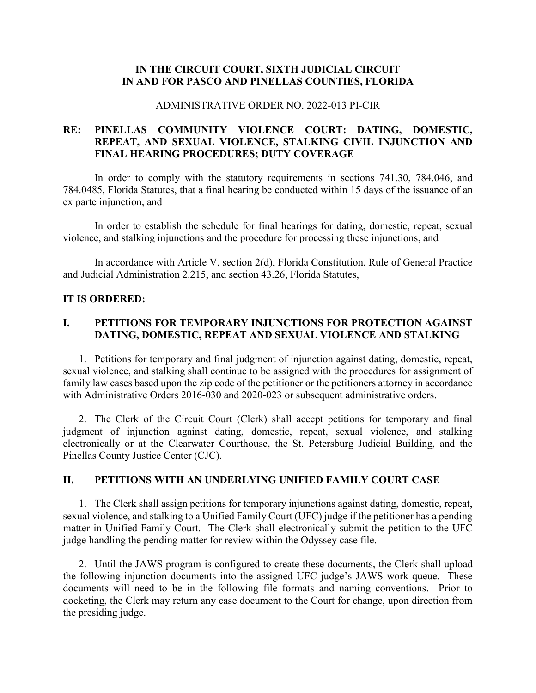## **IN THE CIRCUIT COURT, SIXTH JUDICIAL CIRCUIT IN AND FOR PASCO AND PINELLAS COUNTIES, FLORIDA**

### ADMINISTRATIVE ORDER NO. 2022-013 PI-CIR

# **RE: PINELLAS COMMUNITY VIOLENCE COURT: DATING, DOMESTIC, REPEAT, AND SEXUAL VIOLENCE, STALKING CIVIL INJUNCTION AND FINAL HEARING PROCEDURES; DUTY COVERAGE**

In order to comply with the statutory requirements in sections 741.30, 784.046, and 784.0485, Florida Statutes, that a final hearing be conducted within 15 days of the issuance of an ex parte injunction, and

In order to establish the schedule for final hearings for dating, domestic, repeat, sexual violence, and stalking injunctions and the procedure for processing these injunctions, and

In accordance with Article V, section 2(d), Florida Constitution, Rule of General Practice and Judicial Administration 2.215, and section 43.26, Florida Statutes,

## **IT IS ORDERED:**

# **I. PETITIONS FOR TEMPORARY INJUNCTIONS FOR PROTECTION AGAINST DATING, DOMESTIC, REPEAT AND SEXUAL VIOLENCE AND STALKING**

1. Petitions for temporary and final judgment of injunction against dating, domestic, repeat, sexual violence, and stalking shall continue to be assigned with the procedures for assignment of family law cases based upon the zip code of the petitioner or the petitioners attorney in accordance with Administrative Orders 2016-030 and 2020-023 or subsequent administrative orders.

2. The Clerk of the Circuit Court (Clerk) shall accept petitions for temporary and final judgment of injunction against dating, domestic, repeat, sexual violence, and stalking electronically or at the Clearwater Courthouse, the St. Petersburg Judicial Building, and the Pinellas County Justice Center (CJC).

## **II. PETITIONS WITH AN UNDERLYING UNIFIED FAMILY COURT CASE**

1. The Clerk shall assign petitions for temporary injunctions against dating, domestic, repeat, sexual violence, and stalking to a Unified Family Court (UFC) judge if the petitioner has a pending matter in Unified Family Court. The Clerk shall electronically submit the petition to the UFC judge handling the pending matter for review within the Odyssey case file.

2. Until the JAWS program is configured to create these documents, the Clerk shall upload the following injunction documents into the assigned UFC judge's JAWS work queue. These documents will need to be in the following file formats and naming conventions. Prior to docketing, the Clerk may return any case document to the Court for change, upon direction from the presiding judge.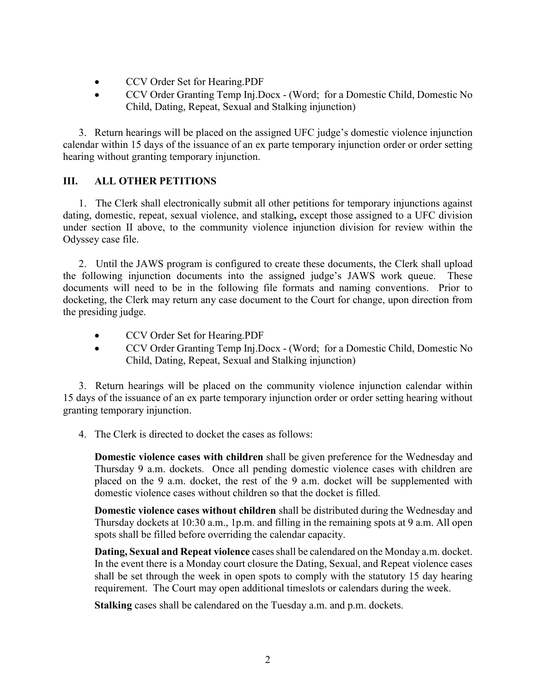- CCV Order Set for Hearing.PDF
- CCV Order Granting Temp Inj.Docx (Word; for a Domestic Child, Domestic No Child, Dating, Repeat, Sexual and Stalking injunction)

3. Return hearings will be placed on the assigned UFC judge's domestic violence injunction calendar within 15 days of the issuance of an ex parte temporary injunction order or order setting hearing without granting temporary injunction.

# **III. ALL OTHER PETITIONS**

1. The Clerk shall electronically submit all other petitions for temporary injunctions against dating, domestic, repeat, sexual violence, and stalking**,** except those assigned to a UFC division under section II above, to the community violence injunction division for review within the Odyssey case file.

2. Until the JAWS program is configured to create these documents, the Clerk shall upload the following injunction documents into the assigned judge's JAWS work queue. These documents will need to be in the following file formats and naming conventions. Prior to docketing, the Clerk may return any case document to the Court for change, upon direction from the presiding judge.

- CCV Order Set for Hearing.PDF
- CCV Order Granting Temp Inj.Docx (Word; for a Domestic Child, Domestic No Child, Dating, Repeat, Sexual and Stalking injunction)

3. Return hearings will be placed on the community violence injunction calendar within 15 days of the issuance of an ex parte temporary injunction order or order setting hearing without granting temporary injunction.

4. The Clerk is directed to docket the cases as follows:

**Domestic violence cases with children** shall be given preference for the Wednesday and Thursday 9 a.m. dockets. Once all pending domestic violence cases with children are placed on the 9 a.m. docket, the rest of the 9 a.m. docket will be supplemented with domestic violence cases without children so that the docket is filled.

**Domestic violence cases without children** shall be distributed during the Wednesday and Thursday dockets at 10:30 a.m., 1p.m. and filling in the remaining spots at 9 a.m. All open spots shall be filled before overriding the calendar capacity.

**Dating, Sexual and Repeat violence** cases shall be calendared on the Monday a.m. docket. In the event there is a Monday court closure the Dating, Sexual, and Repeat violence cases shall be set through the week in open spots to comply with the statutory 15 day hearing requirement. The Court may open additional timeslots or calendars during the week.

**Stalking** cases shall be calendared on the Tuesday a.m. and p.m. dockets.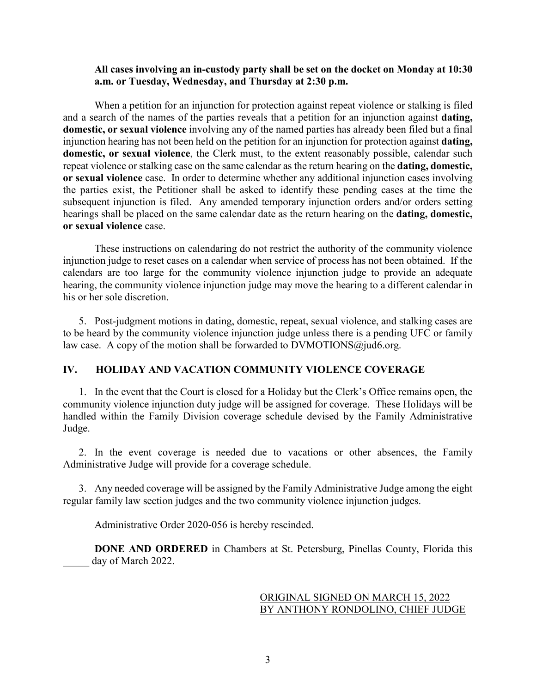### **All cases involving an in-custody party shall be set on the docket on Monday at 10:30 a.m. or Tuesday, Wednesday, and Thursday at 2:30 p.m.**

When a petition for an injunction for protection against repeat violence or stalking is filed and a search of the names of the parties reveals that a petition for an injunction against **dating, domestic, or sexual violence** involving any of the named parties has already been filed but a final injunction hearing has not been held on the petition for an injunction for protection against **dating, domestic, or sexual violence**, the Clerk must, to the extent reasonably possible, calendar such repeat violence or stalking case on the same calendar as the return hearing on the **dating, domestic, or sexual violence** case. In order to determine whether any additional injunction cases involving the parties exist, the Petitioner shall be asked to identify these pending cases at the time the subsequent injunction is filed. Any amended temporary injunction orders and/or orders setting hearings shall be placed on the same calendar date as the return hearing on the **dating, domestic, or sexual violence** case.

These instructions on calendaring do not restrict the authority of the community violence injunction judge to reset cases on a calendar when service of process has not been obtained. If the calendars are too large for the community violence injunction judge to provide an adequate hearing, the community violence injunction judge may move the hearing to a different calendar in his or her sole discretion.

5. Post-judgment motions in dating, domestic, repeat, sexual violence, and stalking cases are to be heard by the community violence injunction judge unless there is a pending UFC or family law case. A copy of the motion shall be forwarded to  $DVMOTIONS@jud6.org$ .

#### **IV. HOLIDAY AND VACATION COMMUNITY VIOLENCE COVERAGE**

1. In the event that the Court is closed for a Holiday but the Clerk's Office remains open, the community violence injunction duty judge will be assigned for coverage. These Holidays will be handled within the Family Division coverage schedule devised by the Family Administrative Judge.

2. In the event coverage is needed due to vacations or other absences, the Family Administrative Judge will provide for a coverage schedule.

3. Any needed coverage will be assigned by the Family Administrative Judge among the eight regular family law section judges and the two community violence injunction judges.

Administrative Order 2020-056 is hereby rescinded.

**DONE AND ORDERED** in Chambers at St. Petersburg, Pinellas County, Florida this day of March 2022.

## ORIGINAL SIGNED ON MARCH 15, 2022 BY ANTHONY RONDOLINO, CHIEF JUDGE